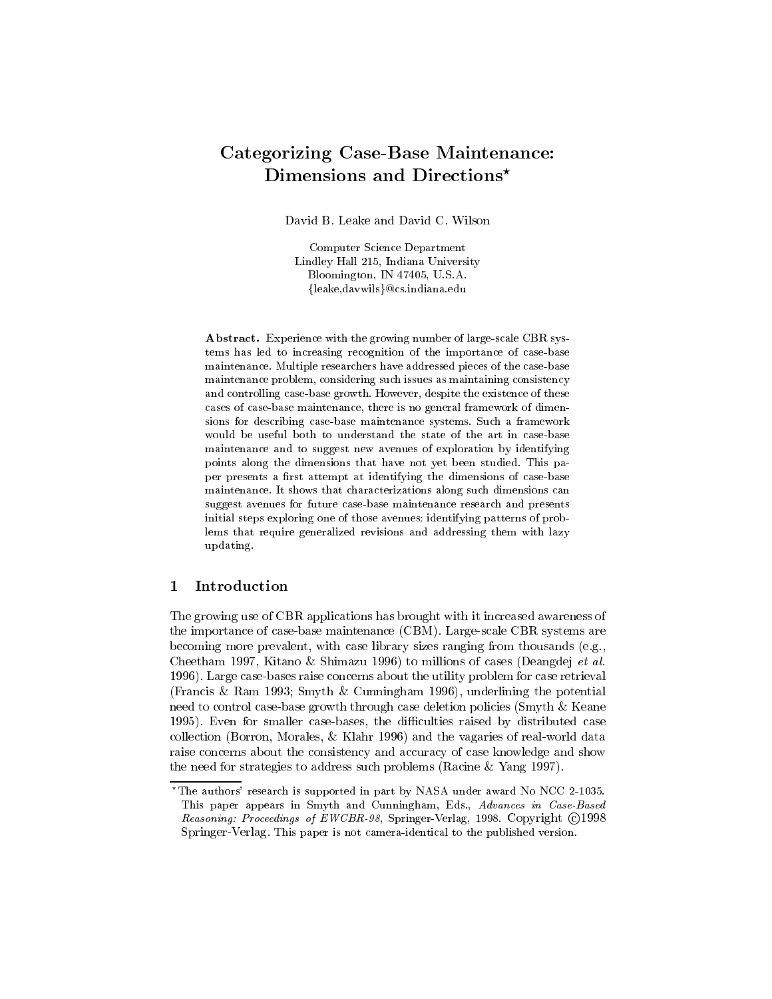# Categorizing Case-Base Maintenance: Dimensions and Directions?

David B. Leake and David C. Wilson

Computer Science Department Lindley Hall 215, Indiana University Bloomington, IN 47405, U.S.A. {leake,davwils}@cs.indiana.edu

Abstract. Experience with the growing number of large-scale CBR systems has led to increasing recognition of the importance of case-base maintenance. Multiple researchers have addressed pieces of the case-base maintenance problem, considering such issues as maintaining consistency and controlling case-base growth. However, despite the existence of these cases of case-base maintenance, there is no general framework of dimensions for describing case-base maintenance systems. Such a framework would be useful both to understand the state of the art in case-base maintenance and to suggest new avenues of exploration by identifying points along the dimensions that have not yet been studied. This paper presents a first attempt at identifying the dimensions of case-base maintenance. It shows that characterizations along such dimensions can suggest avenues for future case-base maintenance research and presents initial steps exploring one of those avenues: identifying patterns of problems that require generalized revisions and addressing them with lazy updating.

### 1 **Introduction**

The growing use of CBR applications has brought with it increased awareness of the importance of case-base maintenance (CBM). Large-scale CBR systems are becoming more prevalent, with case library sizes ranging from thousands (e.g., Cheetham 1997, Kitano & Shimazu 1996) to millions of cases (Deangdej et al. 1996). Large case-bases raise concerns about the utility problem for case retrieval (Francis & Ram 1993; Smyth & Cunningham 1996), underlining the potential need to control case-base growth through case deletion policies (Smyth & Keane 1995). Even for smaller case-bases, the difficulties raised by distributed case collection (Borron, Morales, & Klahr 1996) and the vagaries of real-world data raise concerns about the consistency and accuracy of case knowledge and show the need for strategies to address such problems (Racine & Yang 1997).

<sup>?</sup>The authors' research is supported in part by NASA under award No NCC 2-1035. This paper appears in Smyth and Cunningham, Eds., Advances in Case-Based Reasoning: Proceedings of EWCBR-98, Springer-Verlag, 1998. Copyright  $\odot$ 1998 Springer-Verlag. This paper is not camera-identical to the published version.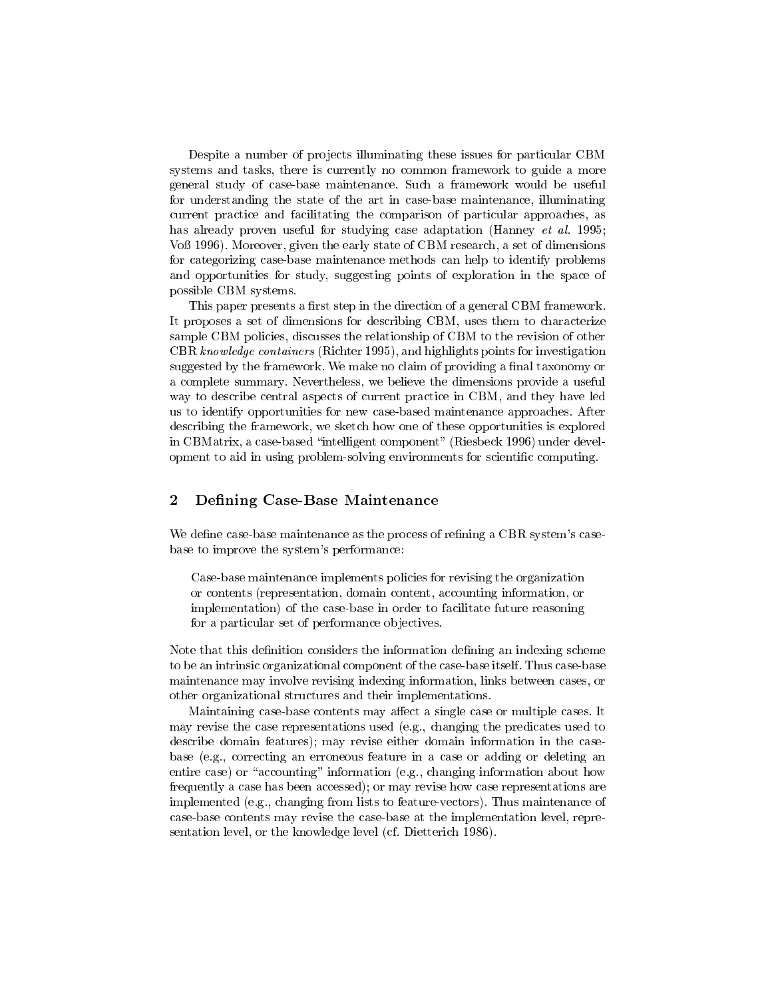Despite a number of projects illuminating these issues for particular CBM systems and tasks, there is currently no common framework to guide a more general study of case-base maintenance. Such a framework would be useful for understanding the state of the art in case-base maintenance, illuminating current practice and facilitating the comparison of particular approaches, as has already proven useful for studying case adaptation (Hanney et al. 1995; Voß 1996). Moreover, given the early state of CBM research, a set of dimensions for categorizing case-base maintenance methods can help to identify problems and opportunities for study, suggesting points of exploration in the space of possible CBM systems.

This paper presents a first step in the direction of a general CBM framework. It proposes a set of dimensions for describing CBM, uses them to characterize sample CBM policies, discusses the relationship of CBM to the revision of other CBR knowledge containers (Richter 1995), and highlights points for investigation suggested by the framework. We make no claim of providing a final taxonomy or a complete summary. Nevertheless, we believe the dimensions provide a useful way to describe central aspects of current practice in CBM, and they have led us to identify opportunities for new case-based maintenance approaches. After describing the framework, we sketch how one of these opportunities is explored in CBMatrix, a case-based "intelligent component" (Riesbeck 1996) under development to aid in using problem-solving environments for scientific computing.

# 2 Defining Case-Base Maintenance

We define case-base maintenance as the process of refining a CBR system's casebase to improve the system's performance:

Case-base maintenance implements policies for revising the organization or contents (representation, domain content, accounting information, or implementation) of the case-base in order to facilitate future reasoning for a particular set of performance ob jectives.

Note that this definition considers the information defining an indexing scheme to be an intrinsic organizational component of the case-base itself. Thus case-base maintenance may involve revising indexing information, links between cases, or other organizational structures and their implementations.

Maintaining case-base contents may affect a single case or multiple cases. It may revise the case representations used (e.g., changing the predicates used to describe domain features); may revise either domain information in the casebase (e.g., correcting an erroneous feature in a case or adding or deleting an entire case) or "accounting" information (e.g., changing information about how frequently a case has been accessed); or may revise how case representations are implemented (e.g., changing from lists to feature-vectors). Thus maintenance of case-base contents may revise the case-base at the implementation level, representation level, or the knowledge level (cf. Dietterich 1986).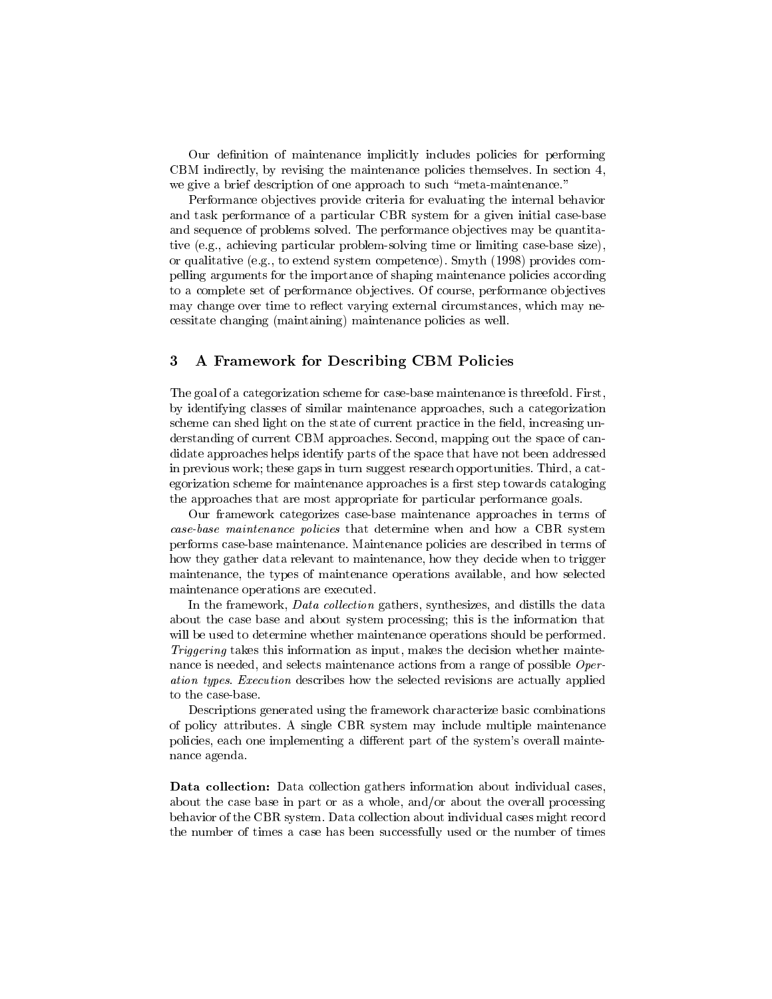Our denition of maintenance implicitly includes policies for performing CBM indirectly, by revising the maintenance policies themselves. In section 4, we give a brief description of one approach to such "meta-maintenance."

Performance objectives provide criteria for evaluating the internal behavior and task performance of a particular CBR system for a given initial case-base and sequence of problems solved. The performance objectives may be quantitative (e.g., achieving particular problem-solving time or limiting case-base size), or qualitative (e.g., to extend system competence). Smyth (1998) provides compelling arguments for the importance of shaping maintenance policies according to a complete set of performance objectives. Of course, performance objectives may change over time to reflect varying external circumstances, which may necessitate changing (maintaining) maintenance policies as well.

# 3 A Framework for Describing CBM Policies

The goal of a categorization scheme for case-base maintenance is threefold. First, by identifying classes of similar maintenance approaches, such a categorization scheme can shed light on the state of current practice in the field, increasing understanding of current CBM approaches. Second, mapping out the space of candidate approaches helps identify parts of the space that have not been addressed in previous work; these gaps in turn suggest research opportunities. Third, a categorization scheme for maintenance approaches is a first step towards cataloging the approaches that are most appropriate for particular performance goals.

Our framework categorizes case-base maintenance approaches in terms of case-base maintenance policies that determine when and how a CBR system performs case-base maintenance. Maintenance policies are described in terms of how they gather data relevant to maintenance, how they decide when to trigger maintenance, the types of maintenance operations available, and how selected maintenance operations are executed.

In the framework, Data collection gathers, synthesizes, and distills the data about the case base and about system processing; this is the information that will be used to determine whether maintenance operations should be performed. Triggering takes this information as input, makes the decision whether maintenance is needed, and selects maintenance actions from a range of possible Operation types. Execution describes how the selected revisions are actually applied to the case-base.

Descriptions generated using the framework characterize basic combinations of policy attributes. A single CBR system may include multiple maintenance policies, each one implementing a different part of the system's overall maintenance agenda.

Data collection: Data collection gathers information about individual cases, about the case base in part or as a whole, and/or about the overall processing behavior of the CBR system. Data collection about individual cases might record the number of times a case has been successfully used or the number of times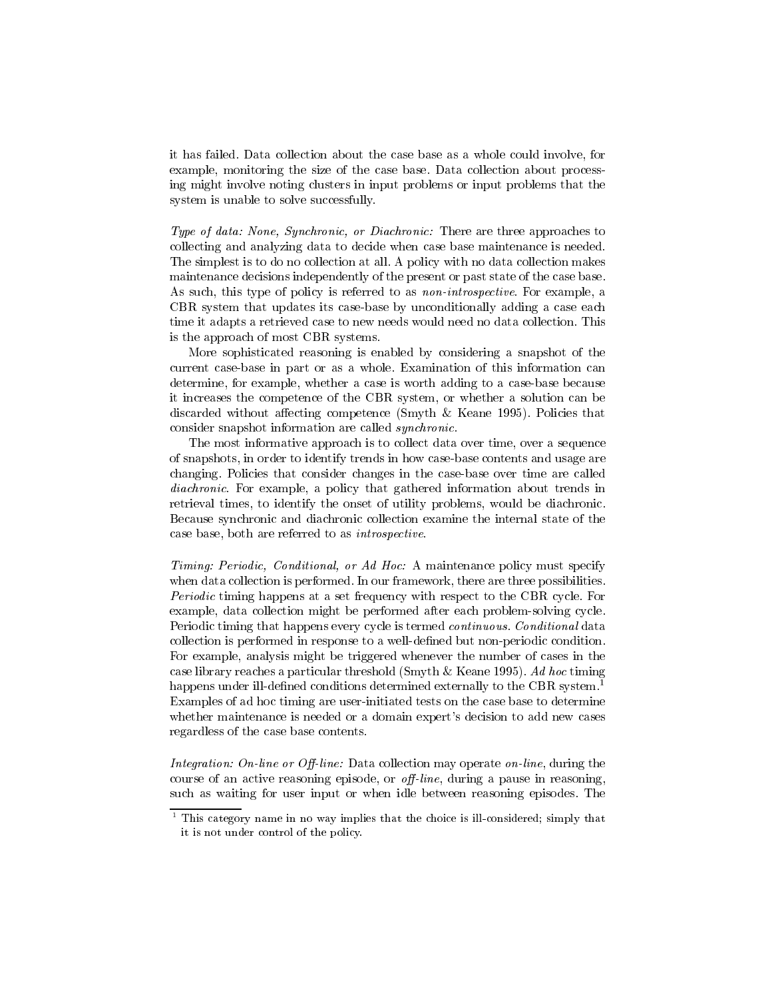it has failed. Data collection about the case base as a whole could involve, for example, monitoring the size of the case base. Data collection about processing might involve noting clusters in input problems or input problems that the system is unable to solve successfully.

Type of data: None, Synchronic, or Diachronic: There are three approaches to collecting and analyzing data to decide when case base maintenance is needed. The simplest is to do no collection at all. A policy with no data collection makes maintenance decisions independently of the present or past state of the case base. As such, this type of policy is referred to as non-introspective. For example, a CBR system that updates its case-base by unconditionally adding a case each time it adapts a retrieved case to new needs would need no data collection. This is the approach of most CBR systems.

More sophisticated reasoning is enabled by considering a snapshot of the current case-base in part or as a whole. Examination of this information can determine, for example, whether a case is worth adding to a case-base because it increases the competence of the CBR system, or whether a solution can be discarded without affecting competence (Smyth  $\&$  Keane 1995). Policies that consider snapshot information are called synchronic.

The most informative approach is to collect data over time, over a sequence of snapshots, in order to identify trends in how case-base contents and usage are changing. Policies that consider changes in the case-base over time are called diachronic. For example, a policy that gathered information about trends in retrieval times, to identify the onset of utility problems, would be diachronic. Because synchronic and diachronic collection examine the internal state of the case base, both are referred to as introspective.

Timing: Periodic, Conditional, or Ad Hoc: A maintenance policy must specify when data collection is performed. In our framework, there are three possibilities. Periodic timing happens at a set frequency with respect to the CBR cycle. For example, data collection might be performed after each problem-solving cycle. Periodic timing that happens every cycle is termed continuous. Conditional data collection is performed in response to a well-defined but non-periodic condition. For example, analysis might be triggered whenever the number of cases in the case library reaches a particular threshold (Smyth & Keane 1995). Ad hoc timing happens under ill-defined conditions determined externally to the CBR system.<sup>1</sup> Examples of ad hoc timing are user-initiated tests on the case base to determine whether maintenance is needed or a domain expert's decision to add new cases regardless of the case base contents.

Integration: On-line or Off-line: Data collection may operate on-line, during the course of an active reasoning episode, or  $off$ -line, during a pause in reasoning, such as waiting for user input or when idle between reasoning episodes. The

<sup>1</sup> This category name in no way implies that the choice is ill-considered; simply that it is not under control of the policy.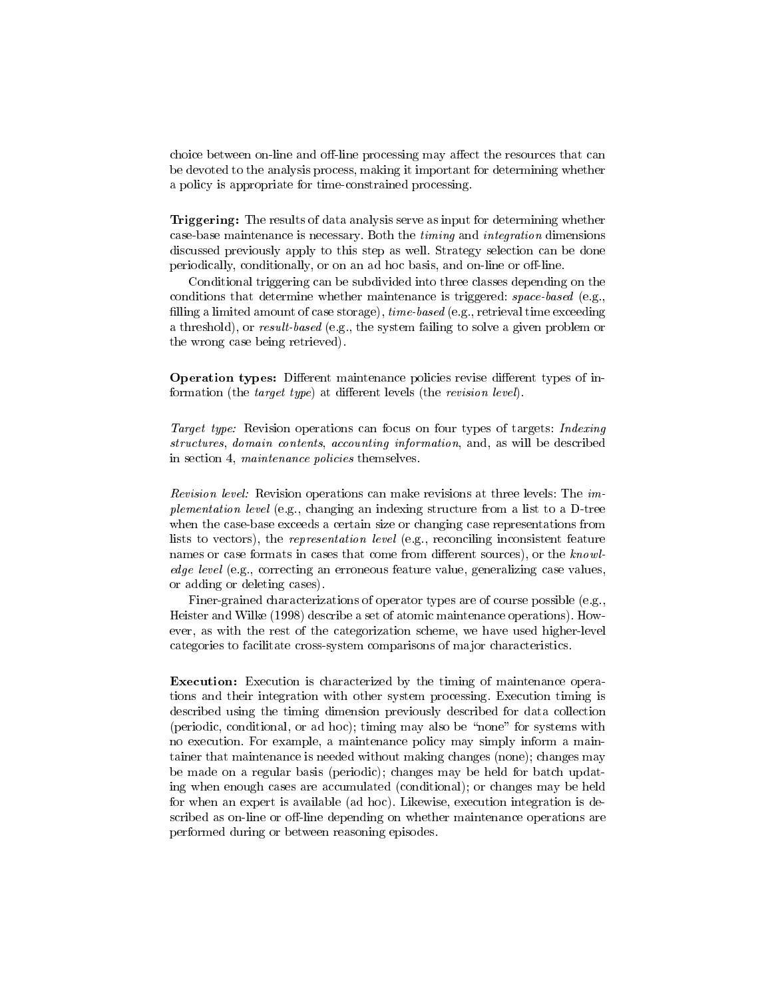choice between on-line and off-line processing may affect the resources that can be devoted to the analysis process, making it important for determining whether a policy is appropriate for time-constrained processing.

Triggering: The results of data analysis serve as input for determining whether case-base maintenance is necessary. Both the timing and integration dimensions discussed previously apply to this step as well. Strategy selection can be done periodically, conditionally, or on an ad hoc basis, and on-line or off-line.

Conditional triggering can be subdivided into three classes depending on the conditions that determine whether maintenance is triggered: space-based (e.g., filling a limited amount of case storage),  $time$ -based (e.g., retrieval time exceeding a threshold), or result-based (e.g., the system failing to solve a given problem or the wrong case being retrieved).

Operation types: Dierent maintenance policies revise dierent types of information (the *target type*) at different levels (the *revision level*).

Target type: Revision operations can focus on four types of targets: Indexing structures, domain contents, accounting information, and, as will be described in section 4, maintenance policies themselves.

Revision level: Revision operations can make revisions at three levels: The implementation level (e.g., changing an indexing structure from a list to a D-tree when the case-base exceeds a certain size or changing case representations from lists to vectors), the *representation level* (e.g., reconciling inconsistent feature names or case formats in cases that come from different sources), or the knowledge level (e.g., correcting an erroneous feature value, generalizing case values, or adding or deleting cases).

Finer-grained characterizations of operator types are of course possible (e.g., Heister and Wilke (1998) describe a set of atomic maintenance operations). How ever, as with the rest of the categorization scheme, we have used higher-level categories to facilitate cross-system comparisons of ma jor characteristics.

Execution: Execution is characterized by the timing of maintenance operations and their integration with other system processing. Execution timing is described using the timing dimension previously described for data collection (periodic, conditional, or ad hoc); timing may also be "none" for systems with no execution. For example, a maintenance policy may simply inform a maintainer that maintenance is needed without making changes (none); changes may be made on a regular basis (periodic); changes may be held for batch updating when enough cases are accumulated (conditional); or changes may be held for when an expert is available (ad hoc). Likewise, execution integration is described as on-line or off-line depending on whether maintenance operations are performed during or between reasoning episodes.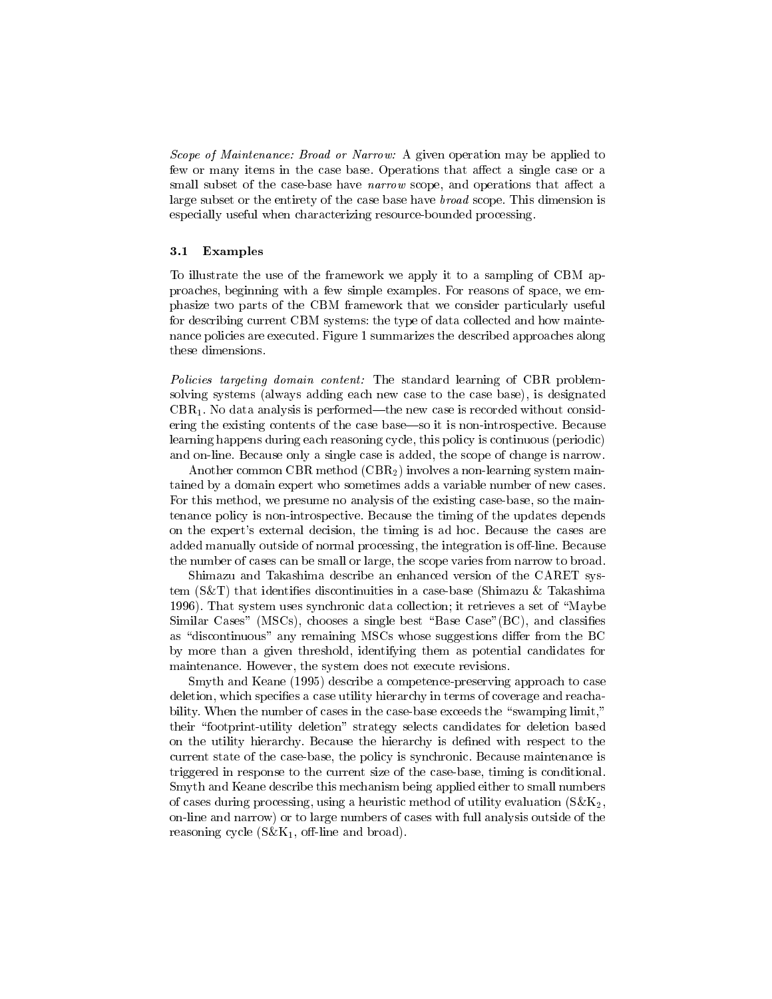Scope of Maintenance: Broad or Narrow: A given operation may be applied to few or many items in the case base. Operations that affect a single case or a small subset of the case-base have *narrow* scope, and operations that affect a large subset or the entirety of the case base have *broad* scope. This dimension is especially useful when characterizing resource-bounded processing.

#### 3.1Examples

To illustrate the use of the framework we apply it to a sampling of CBM approaches, beginning with a few simple examples. For reasons of space, we emphasize two parts of the CBM framework that we consider particularly useful for describing current CBM systems: the type of data collected and how maintenance policies are executed. Figure 1 summarizes the described approaches along these dimensions.

Policies targeting domain content: The standard learning of CBR problemsolving systems (always adding each new case to the case base), is designated  $CBR<sub>1</sub>$ . No data analysis is performed—the new case is recorded without considering the existing contents of the case base—so it is non-introspective. Because learning happens during each reasoning cycle, this policy is continuous (periodic) and on-line. Because only a single case is added, the scope of change is narrow.

Another common CBR method  $(CBR<sub>2</sub>)$  involves a non-learning system maintained by a domain expert who sometimes adds a variable number of new cases. For this method, we presume no analysis of the existing case-base, so the maintenance policy is non-introspective. Because the timing of the updates depends on the expert's external decision, the timing is ad hoc. Because the cases are added manually outside of normal processing, the integration is off-line. Because the number of cases can be small or large, the scope varies from narrow to broad.

Shimazu and Takashima describe an enhanced version of the CARET system  $(S&T)$  that identifies discontinuities in a case-base (Shimazu & Takashima 1996). That system uses synchronic data collection; it retrieves a set of \Maybe Similar Cases" ( $MSCs$ ), chooses a single best "Base Case"( $BC$ ), and classifies as "discontinuous" any remaining MSCs whose suggestions differ from the BC by more than a given threshold, identifying them as potential candidates for maintenance. However, the system does not execute revisions.

Smyth and Keane (1995) describe a competence-preserving approach to case deletion, which specifies a case utility hierarchy in terms of coverage and reachability. When the number of cases in the case-base exceeds the "swamping limit," their "footprint-utility deletion" strategy selects candidates for deletion based on the utility hierarchy. Because the hierarchy is dened with respect to the current state of the case-base, the policy is synchronic. Because maintenance is triggered in response to the current size of the case-base, timing is conditional. Smyth and Keane describe this mechanism being applied either to small numbers of cases during processing, using a heuristic method of utility evaluation  $(S\&K<sub>2</sub>$ , on-line and narrow) or to large numbers of cases with full analysis outside of the reasoning cycle  $(S\&K_1, \text{ off-line and broad}).$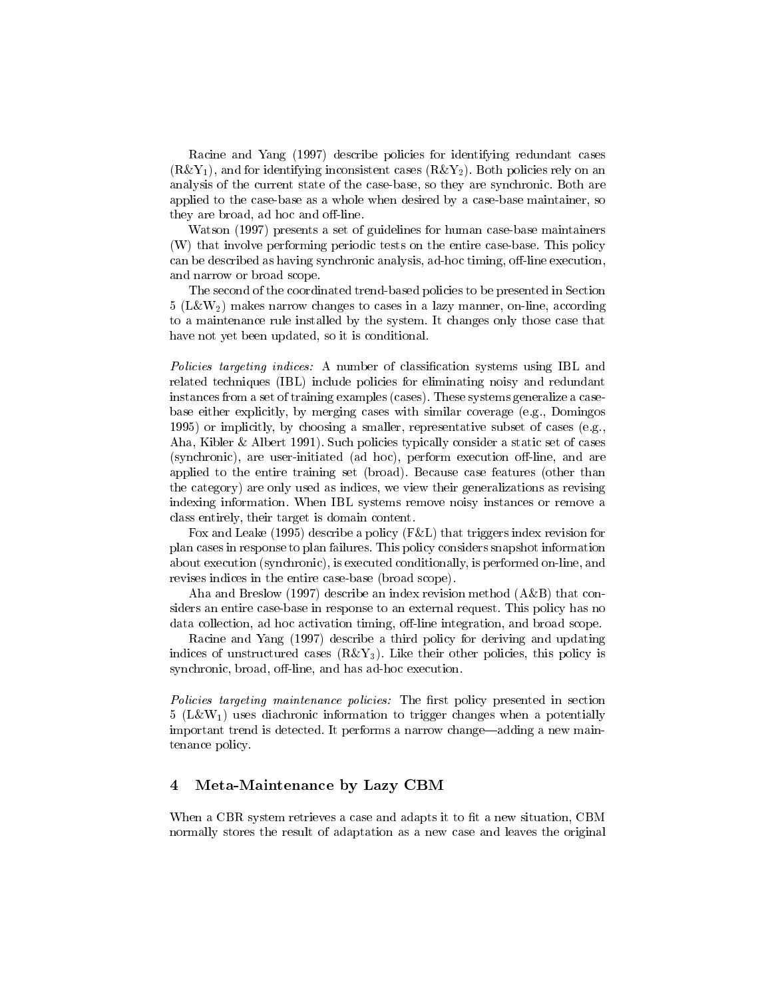Racine and Yang (1997) describe policies for identifying redundant cases  $(R\&Y_1)$ , and for identifying inconsistent cases  $(R\&Y_2)$ . Both policies rely on an analysis of the current state of the case-base, so they are synchronic. Both are applied to the case-base as a whole when desired by a case-base maintainer, so they are broad, ad hoc and off-line.

Watson (1997) presents a set of guidelines for human case-base maintainers (W) that involve performing periodic tests on the entire case-base. This policy can be described as having synchronic analysis, ad-hoc timing, off-line execution, and narrow or broad scope.

The second of the coordinated trend-based policies to be presented in Section  $5 \text{ (L\&W}_2)$  makes narrow changes to cases in a lazy manner, on-line, according to a maintenance rule installed by the system. It changes only those case that have not yet been updated, so it is conditional.

Policies targeting indices: A number of classification systems using IBL and related techniques (IBL) include policies for eliminating noisy and redundant instances from a set of training examples (cases). These systems generalize a casebase either explicitly, by merging cases with similar coverage (e.g., Domingos 1995) or implicitly, by choosing a smaller, representative subset of cases (e.g., Aha, Kibler & Albert 1991). Such policies typically consider a static set of cases  $(synchronous, are user-initiated (ad hoc), perform execution off-line, and are$ applied to the entire training set (broad). Because case features (other than the category) are only used as indices, we view their generalizations as revising indexing information. When IBL systems remove noisy instances or remove a class entirely, their target is domain content.

Fox and Leake (1995) describe a policy (F&L) that triggers index revision for plan cases in response to plan failures. This policy considers snapshot information about execution (synchronic), is executed conditionally, is performed on-line, and revises indices in the entire case-base (broad scope).

Aha and Breslow (1997) describe an index revision method (A&B) that considers an entire case-base in response to an external request. This policy has no data collection, ad hoc activation timing, off-line integration, and broad scope.

Racine and Yang (1997) describe a third policy for deriving and updating indices of unstructured cases  $(R\&Y_3)$ . Like their other policies, this policy is synchronic, broad, off-line, and has ad-hoc execution.

Policies targeting maintenance policies: The first policy presented in section 5 (L&W<sub>1</sub>) uses diachronic information to trigger changes when a potentially important trend is detected. It performs a narrow change—adding a new maintenance policy.

# 4 Meta-Maintenance by Lazy CBM

When a CBR system retrieves a case and adapts it to fit a new situation, CBM normally stores the result of adaptation as a new case and leaves the original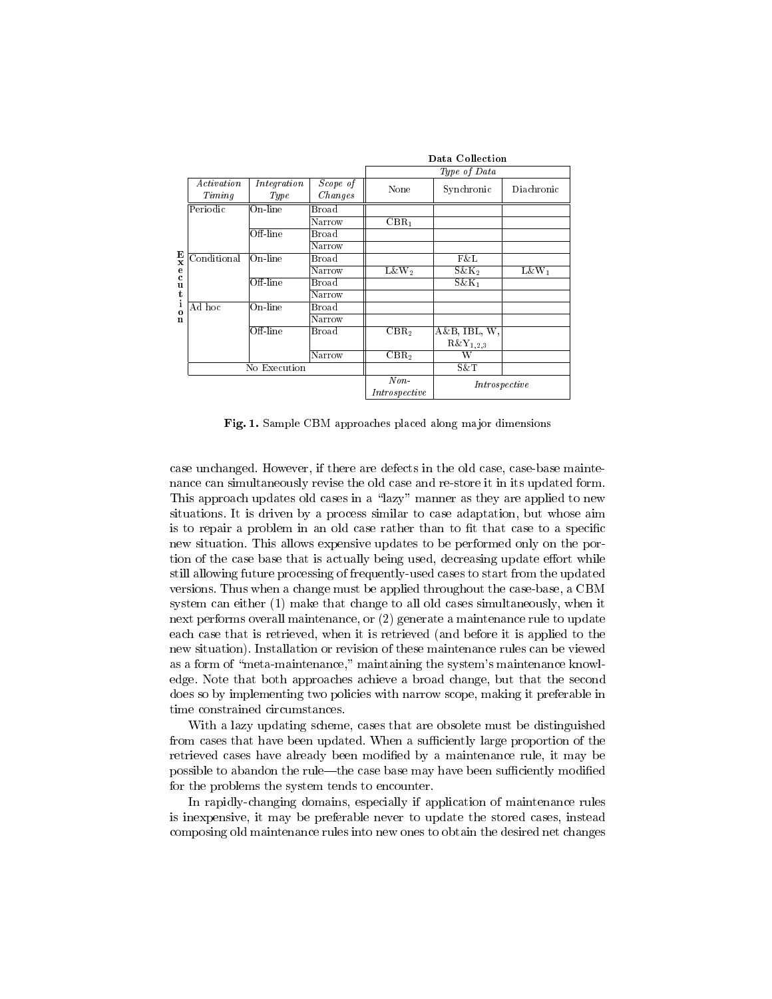|                                            |                     |                     | Data Collection<br>Type of Data |                |            |
|--------------------------------------------|---------------------|---------------------|---------------------------------|----------------|------------|
|                                            |                     |                     |                                 |                |            |
| Activation<br>$T^{iming}$                  | Integration<br>Type | Scope of<br>Changes | None                            | Synchronic     | Diachronic |
| Periodic<br>$\frac{E}{x}$                  | $On$ -line          | Broad               |                                 |                |            |
|                                            |                     | Narrow              | $CBR_1$                         |                |            |
|                                            | Off-line            | Broad               |                                 |                |            |
|                                            |                     | Narrow              |                                 |                |            |
| Conditional                                | $On$ -line          | $_{\rm Broad}$      |                                 | F&L            |            |
|                                            |                     | Narrow              | $L\&W_2$                        | $S\&K_{2}$     | $L\&W_1$   |
|                                            | Off-line            | $_{\rm Broad}$      |                                 | $S\&K_1$       |            |
|                                            |                     | Narrow              |                                 |                |            |
| i<br>Ad hoc<br>$\mathbf{o}$<br>$\mathbf n$ | $On$ -line          | $_{\rm Broad}$      |                                 |                |            |
|                                            |                     | Narrow              |                                 |                |            |
|                                            | Off-line            | Broad               | CBR <sub>2</sub>                | A&B, IBL, W,   |            |
|                                            |                     |                     |                                 | $R\&Y_{1,2,3}$ |            |
|                                            |                     | Narrow              | CBR <sub>2</sub>                | W              |            |
| No Execution                               |                     |                     |                                 | $S\&T$         |            |
|                                            |                     | $Non-$              | <i>Introspective</i>            |                |            |
|                                            |                     |                     | Introspective                   |                |            |

Fig. 1. Sample CBM approaches placed along ma jor dimensions

case unchanged. However, if there are defects in the old case, case-base maintenance can simultaneously revise the old case and re-store it in its updated form. This approach updates old cases in a "lazy" manner as they are applied to new situations. It is driven by a process similar to case adaptation, but whose aim is to repair a problem in an old case rather than to fit that case to a specific new situation. This allows expensive updates to be performed only on the portion of the case base that is actually being used, decreasing update effort while still allowing future processing of frequently-used cases to start from the updated versions. Thus when a change must be applied throughout the case-base, a CBM system can either (1) make that change to all old cases simultaneously, when it next performs overall maintenance, or (2) generate a maintenance rule to update each case that is retrieved, when it is retrieved (and before it is applied to the new situation). Installation or revision of these maintenance rules can be viewed as a form of "meta-maintenance," maintaining the system's maintenance knowledge. Note that both approaches achieve a broad change, but that the second does so by implementing two policies with narrow scope, making it preferable in time constrained circumstances.

With a lazy updating scheme, cases that are obsolete must be distinguished from cases that have been updated. When a sufficiently large proportion of the retrieved cases have already been modified by a maintenance rule, it may be possible to abandon the rule—the case base may have been sufficiently modified for the problems the system tends to encounter.

In rapidly-changing domains, especially if application of maintenance rules is inexpensive, it may be preferable never to update the stored cases, instead composing old maintenance rules into new ones to obtain the desired net changes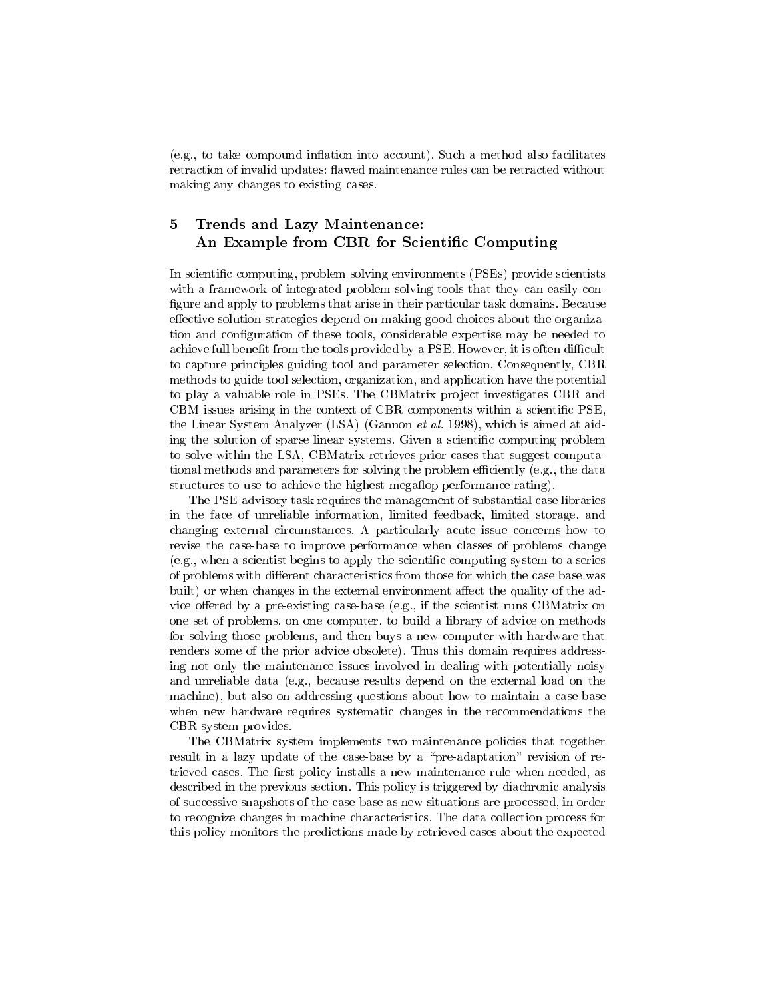$(e.g., to take compound inflation into account). Such a method also facilitates$ retraction of invalid updates: flawed maintenance rules can be retracted without making any changes to existing cases.

# 5 Trends and Lazy Maintenance: An Example from CBR for Scientic Computing

In scientic computing, problem solving environments (PSEs) provide scientists with a framework of integrated problem-solving tools that they can easily configure and apply to problems that arise in their particular task domains. Because effective solution strategies depend on making good choices about the organization and configuration of these tools, considerable expertise may be needed to achieve full benefit from the tools provided by a PSE. However, it is often difficult to capture principles guiding tool and parameter selection. Consequently, CBR methods to guide tool selection, organization, and application have the potential to play a valuable role in PSEs. The CBMatrix project investigates CBR and CBM issues arising in the context of CBR components within a scientic PSE, the Linear System Analyzer (LSA) (Gannon et al. 1998), which is aimed at aiding the solution of sparse linear systems. Given a scientic computing problem to solve within the LSA, CBMatrix retrieves prior cases that suggest computational methods and parameters for solving the problem efficiently (e.g., the data structures to use to achieve the highest megaflop performance rating).

The PSE advisory task requires the management of substantial case libraries in the face of unreliable information, limited feedback, limited storage, and changing external circumstances. A particularly acute issue concerns how to revise the case-base to improve performance when classes of problems change (e.g., when a scientist begins to apply the scientic computing system to a series of problems with different characteristics from those for which the case base was built) or when changes in the external environment affect the quality of the advice offered by a pre-existing case-base (e.g., if the scientist runs CBMatrix on one set of problems, on one computer, to build a library of advice on methods for solving those problems, and then buys a new computer with hardware that renders some of the prior advice obsolete). Thus this domain requires addressing not only the maintenance issues involved in dealing with potentially noisy and unreliable data (e.g., because results depend on the external load on the machine), but also on addressing questions about how to maintain a case-base when new hardware requires systematic changes in the recommendations the CBR system provides.

The CBMatrix system implements two maintenance policies that together result in a lazy update of the case-base by a "pre-adaptation" revision of retrieved cases. The first policy installs a new maintenance rule when needed, as described in the previous section. This policy is triggered by diachronic analysis of successive snapshots of the case-base as new situations are processed, in order to recognize changes in machine characteristics. The data collection process for this policy monitors the predictions made by retrieved cases about the expected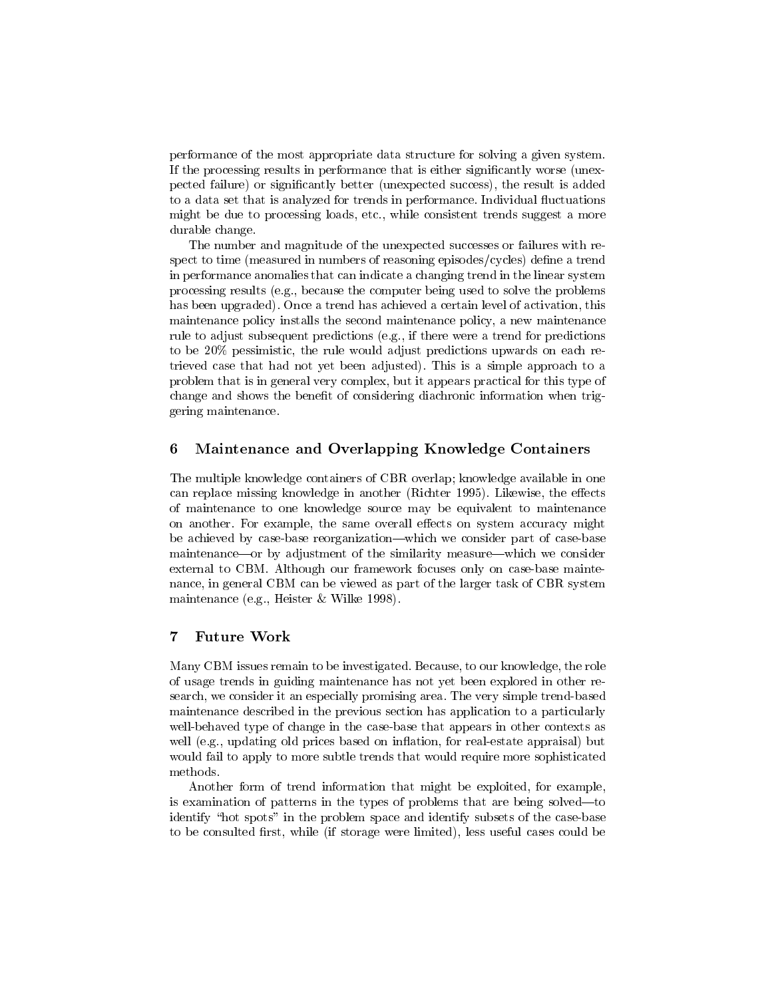performance of the most appropriate data structure for solving a given system. If the processing results in performance that is either signicantly worse (unexpected failure) or signicantly better (unexpected success), the result is added to a data set that is analyzed for trends in performance. Individual 
uctuations might be due to processing loads, etc., while consistent trends suggest a more durable change.

The number and magnitude of the unexpected successes or failures with respect to time (measured in numbers of reasoning episodes/cycles) define a trend in performance anomalies that can indicate a changing trend in the linear system processing results (e.g., because the computer being used to solve the problems has been upgraded). Once a trend has achieved a certain level of activation, this maintenance policy installs the second maintenance policy, a new maintenance rule to adjust subsequent predictions (e.g., if there were a trend for predictions to be 20% pessimistic, the rule would adjust predictions upwards on each retrieved case that had not yet been adjusted). This is a simple approach to a problem that is in general very complex, but it appears practical for this type of change and shows the benefit of considering diachronic information when triggering maintenance.

# 6 Maintenance and Overlapping Knowledge Containers

The multiple knowledge containers of CBR overlap; knowledge available in one can replace missing knowledge in another (Richter 1995). Likewise, the effects of maintenance to one knowledge source may be equivalent to maintenance on another. For example, the same overall effects on system accuracy might be achieved by case-base reorganization—which we consider part of case-base maintenance—or by adjustment of the similarity measure—which we consider external to CBM. Although our framework focuses only on case-base maintenance, in general CBM can be viewed as part of the larger task of CBR system maintenance (e.g., Heister & Wilke 1998).

### $\overline{7}$ **Future Work**

Many CBM issues remain to be investigated. Because, to our knowledge, the role of usage trends in guiding maintenance has not yet been explored in other research, we consider it an especially promising area. The very simple trend-based maintenance described in the previous section has application to a particularly well-behaved type of change in the case-base that appears in other contexts as well (e.g., updating old prices based on inflation, for real-estate appraisal) but would fail to apply to more subtle trends that would require more sophisticated methods.

Another form of trend information that might be exploited, for example, is examination of patterns in the types of problems that are being solved—to identify "hot spots" in the problem space and identify subsets of the case-base to be consulted first, while (if storage were limited), less useful cases could be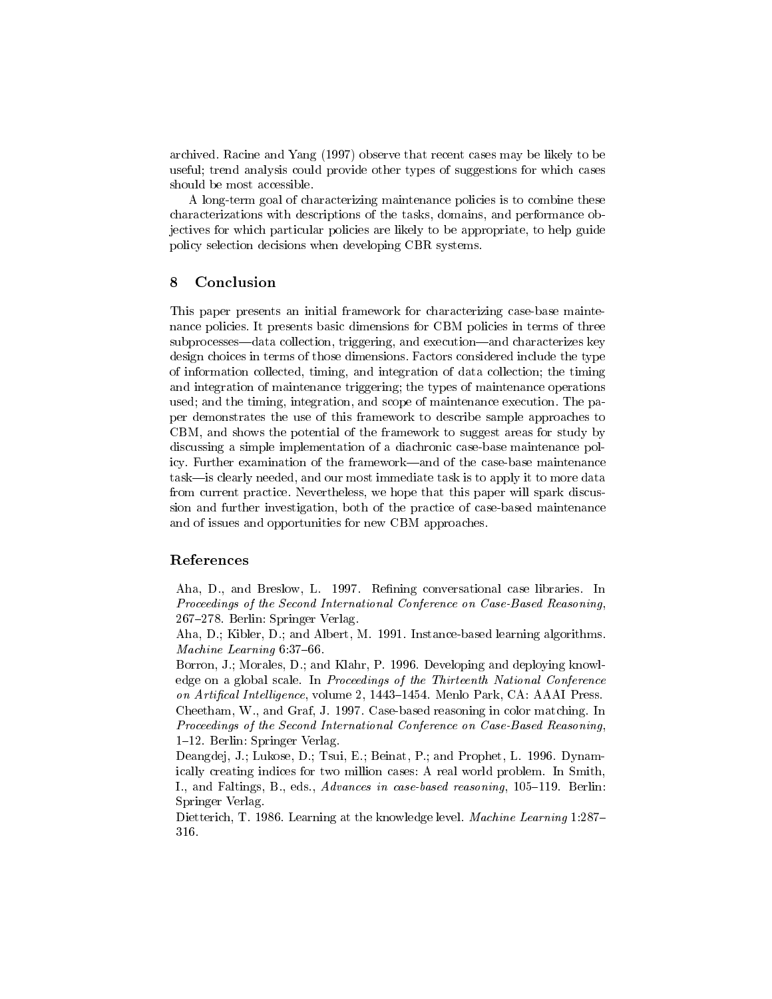archived. Racine and Yang (1997) observe that recent cases may be likely to be useful; trend analysis could provide other types of suggestions for which cases should be most accessible.

A long-term goal of characterizing maintenance policies is to combine these characterizations with descriptions of the tasks, domains, and performance objectives for which particular policies are likely to be appropriate, to help guide policy selection decisions when developing CBR systems.

# 8 Conclusion

This paper presents an initial framework for characterizing case-base maintenance policies. It presents basic dimensions for CBM policies in terms of three subprocesses—data collection, triggering, and execution—and characterizes key design choices in terms of those dimensions. Factors considered include the type of information collected, timing, and integration of data collection; the timing and integration of maintenance triggering; the types of maintenance operations used; and the timing, integration, and scope of maintenance execution. The paper demonstrates the use of this framework to describe sample approaches to CBM, and shows the potential of the framework to suggest areas for study by discussing a simple implementation of a diachronic case-base maintenance policy. Further examination of the framework—and of the case-base maintenance task-is clearly needed, and our most immediate task is to apply it to more data from current practice. Nevertheless, we hope that this paper will spark discussion and further investigation, both of the practice of case-based maintenance and of issues and opportunities for new CBM approaches.

# References

Aha, D., and Breslow, L. 1997. Refining conversational case libraries. In Proceedings of the Second International Conference on Case-Based Reasoning, 267-278. Berlin: Springer Verlag.

Aha, D.; Kibler, D.; and Albert, M. 1991. Instance-based learning algorithms. Machine Learning  $6:37-66$ .

Borron, J.; Morales, D.; and Klahr, P. 1996. Developing and deploying knowledge on a global scale. In Proceedings of the Thirteenth National Conference on Artifical Intelligence, volume 2, 1443–1454. Menlo Park, CA: AAAI Press. Cheetham, W., and Graf, J. 1997. Case-based reasoning in color matching. In Proceedings of the Second International Conference on Case-Based Reasoning, 1{12. Berlin: Springer Verlag.

Deangdej, J.; Lukose, D.; Tsui, E.; Beinat, P.; and Prophet, L. 1996. Dynamically creating indices for two million cases: A real world problem. In Smith, I., and Faltings, B., eds., Advances in case-based reasoning, 105-119. Berlin: Springer Verlag.

Dietterich, T. 1986. Learning at the knowledge level. Machine Learning 1:287-316.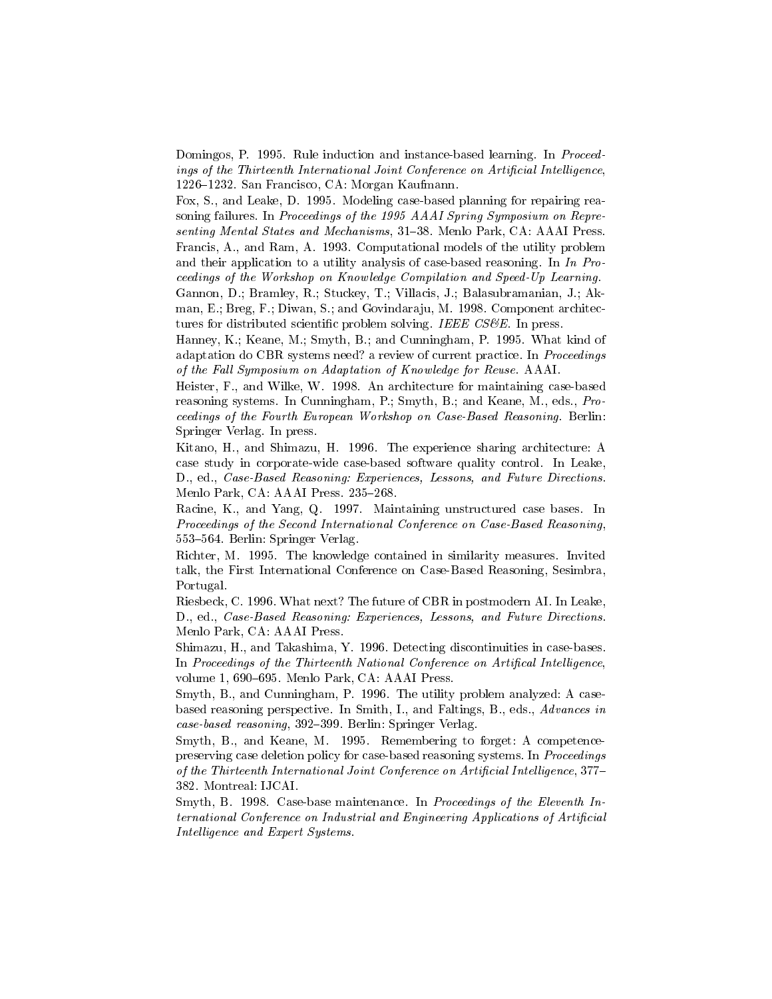Domingos, P. 1995. Rule induction and instance-based learning. In Proceedings of the Thirteenth International Joint Conference on Artificial Intelligence, 1226{1232. San Francisco, CA: Morgan Kaufmann.

Fox, S., and Leake, D. 1995. Modeling case-based planning for repairing reasoning failures. In Proceedings of the 1995 AAAI Spring Symposium on Representing Mental States and Mechanisms, 31–38. Menlo Park, CA: AAAI Press. Francis, A., and Ram, A. 1993. Computational models of the utility problem and their application to a utility analysis of case-based reasoning. In In Proceedings of the Workshop on Knowledge Compilation and Speed-Up Learning.

Gannon, D.; Bramley, R.; Stuckey, T.; Villacis, J.; Balasubramanian, J.; Akman, E.; Breg, F.; Diwan, S.; and Govindara ju, M. 1998. Component architectures for distributed scientific problem solving. IEEE CS&E. In press.

Hanney, K.; Keane, M.; Smyth, B.; and Cunningham, P. 1995. What kind of adaptation do CBR systems need? a review of current practice. In Proceedings of the Fall Symposium on Adaptation of Knowledge for Reuse. AAAI.

Heister, F., and Wilke, W. 1998. An architecture for maintaining case-based reasoning systems. In Cunningham, P.; Smyth, B.; and Keane, M., eds., Proceedings of the Fourth European Workshop on Case-Based Reasoning. Berlin: Springer Verlag. In press.

Kitano, H., and Shimazu, H. 1996. The experience sharing architecture: A case study in corporate-wide case-based software quality control. In Leake, D., ed., *Case-Based Reasoning: Experiences, Lessons, and Future Directions.* Menlo Park, CA: AAAI Press. 235-268.

Racine, K., and Yang, Q. 1997. Maintaining unstructured case bases. In Proceedings of the Second International Conference on Case-Based Reasoning, 553{564. Berlin: Springer Verlag.

Richter, M. 1995. The knowledge contained in similarity measures. Invited talk, the First International Conference on Case-Based Reasoning, Sesimbra, Portugal.

Riesbeck, C. 1996. What next? The future of CBR in postmodern AI. In Leake, D., ed., *Case-Based Reasoning: Experiences, Lessons, and Future Directions.* Menlo Park, CA: AAAI Press.

Shimazu, H., and Takashima, Y. 1996. Detecting discontinuities in case-bases. In Proceedings of the Thirteenth National Conference on Artifical Intelligence, volume 1, 690–695. Menlo Park, CA: AAAI Press.

Smyth, B., and Cunningham, P. 1996. The utility problem analyzed: A casebased reasoning perspective. In Smith, I., and Faltings, B., eds., Advances in case-based reasoning, 392-399. Berlin: Springer Verlag.

Smyth, B., and Keane, M. 1995. Remembering to forget: A competencepreserving case deletion policy for case-based reasoning systems. In Proceedings of the Thirteenth International Joint Conference on Artificial Intelligence, 377-382. Montreal: IJCAI.

Smyth, B. 1998. Case-base maintenance. In Proceedings of the Eleventh International Conference on Industrial and Engineering Applications of Artificial Intelligence and Expert Systems.